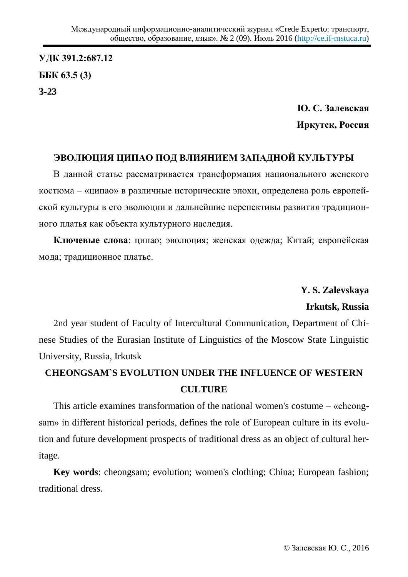**ɍȾɄ 391.2:687.12 GGK** 63.5 (3) **Ɂ-23**

> **Ю. С. Залевская** Иркутск, Россия

## ЭВОЛЮЦИЯ ЦИПАО ПОД ВЛИЯНИЕМ ЗАПАДНОЙ КУЛЬТУРЫ

В данной статье рассматривается трансформация национального женского костюма – «ципао» в различные исторические эпохи, определена роль европейской культуры в его эволюции и дальнейшие перспективы развития традиционного платья как объекта культурного наследия.

Ключевые слова: ципао; эволюция; женская одежда; Китай; европейская мода; традиционное платье.

> **Y. S. Zalevskaya Irkutsk, Russia**

2nd year student of Faculty of Intercultural Communication, Department of Chinese Studies of the Eurasian Institute of Linguistics of the Moscow State Linguistic University, Russia, Irkutsk

## **CHEONGSAM`S EVOLUTION UNDER THE INFLUENCE OF WESTERN CULTURE**

This article examines transformation of the national women's costume  $-$  «cheongsam» in different historical periods, defines the role of European culture in its evolution and future development prospects of traditional dress as an object of cultural heritage.

**Key words**: cheongsam; evolution; women's clothing; China; European fashion; traditional dress.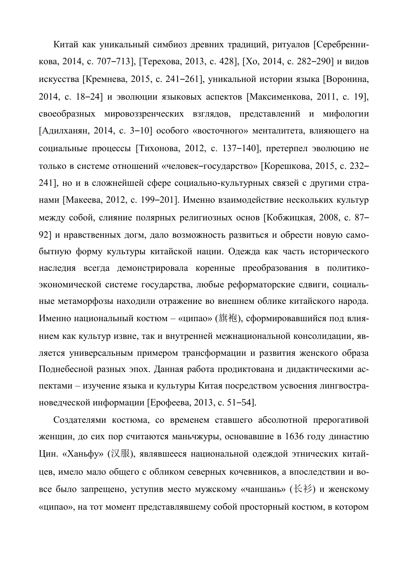Китай как уникальный симбиоз древних традиций, ритуалов [Серебренникова, 2014, с. 707–713], [Терехова, 2013, с. 428], [Хо, 2014, с. 282–290] и видов искусства [Кремнева, 2015, с. 241–261], уникальной истории языка [Воронина, 2014, с. 18–24] и эволюции языковых аспектов [Максименкова, 2011, с. 19], своеобразных мировоззренческих взглядов, представлений и мифологии  $[A$ дилханян, 2014, с. 3–10] особого «восточного» менталитета, влияющего на социальные процессы [Тихонова, 2012, с. 137–140], претерпел эволюцию не только в системе отношений «человек-государство» [Корешкова, 2015, с. 232– 241], но и в сложнейшей сфере социально-культурных связей с другими странами [Макеева, 2012, с. 199–201]. Именно взаимодействие нескольких культур между собой, слияние полярных религиозных основ [Кобжицкая, 2008, с. 87– 921 и нравственных догм, дало возможность развиться и обрести новую самобытную форму культуры китайской нации. Одежда как часть исторического наследия всегда демонстрировала коренные преобразования в политикоэкономической системе государства, любые реформаторские сдвиги, социальные метаморфозы находили отражение во внешнем облике китайского народа. Именно национальный костюм – «ципао» (旗袍), сформировавшийся под влиянием как культур извне, так и внутренней межнациональной консолидации, является универсальным примером трансформации и развития женского образа Поднебесной разных эпох. Данная работа продиктована и дидактическими аспектами – изучение языка и культуры Китая посредством усвоения лингвострановедческой информации [Ерофеева, 2013, с. 51–54].

Создателями костюма, со временем ставшего абсолютной прерогативой женщин, до сих пор считаются маньчжуры, основавшие в 1636 году династию Шин. «Ханьфу» (汉服), являвшееся национальной одеждой этнических китайцев, имело мало общего с обликом северных кочевников, а впоследствии и вовсе было запрещено, уступив место мужскому «чаншань» (长衫) и женскому «ципао», на тот момент представлявшему собой просторный костюм, в котором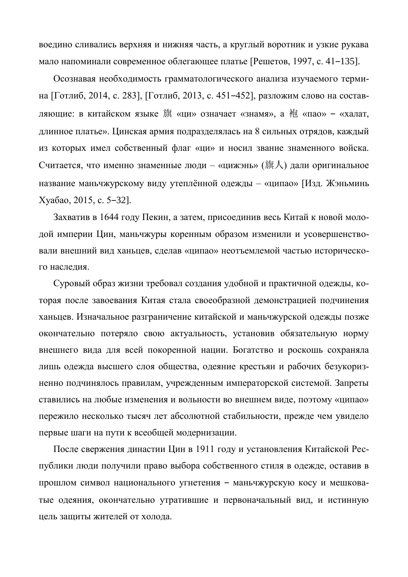воедино сливались верхняя и нижняя часть, а круглый воротник и узкие рукава мало напоминали современное облегающее платье [Решетов, 1997, с. 41–135].

Осознавая необходимость грамматологического анализа изучаемого термина [Готлиб, 2014, с. 283], [Готлиб, 2013, с. 451–452], разложим слово на составляющие: в китайском языке 旗 «ци» означает «знамя», а 袍 «пао» – «халат, длинное платье». Цинская армия подразделялась на 8 сильных отрядов, каждый из которых имел собственный флаг «ци» и носил звание знаменного войска. Считается, что именно знаменные люди – «цижэнь» (旗人) дали оригинальное название маньчжурскому виду утеплённой одежды – «ципао» [Изд. Жэньминь ɏɭɚɛɚɨ, 2015, ɫ. 5‒32].

Захватив в 1644 году Пекин, а затем, присоединив весь Китай к новой молодой империи Цин, маньчжуры коренным образом изменили и усовершенствовали внешний вид ханьцев, сделав «ципао» неотъемлемой частью исторического наследия.

Суровый образ жизни требовал создания удобной и практичной одежды, которая после завоевания Китая стала своеобразной демонстрацией подчинения ханьцев. Изначальное разграничение китайской и маньчжурской одежды позже окончательно потеряло свою актуальность, установив обязательную норму внешнего вида для всей покоренной нации. Богатство и роскошь сохраняла лишь одежда высшего слоя общества, одеяние крестьян и рабочих безукоризненно подчинялось правилам, учрежденным императорской системой. Запреты ставились на любые изменения и вольности во внешнем виде, поэтому «ципао» пережило несколько тысяч лет абсолютной стабильности, прежде чем увидело первые шаги на пути к всеобщей модернизации.

После свержения династии Цин в 1911 году и установления Китайской Республики люди получили право выбора собственного стиля в одежде, оставив в прошлом символ национального угнетения - маньчжурскую косу и мешковатые одеяния, окончательно утратившие и первоначальный вид, и истинную цель защиты жителей от холода.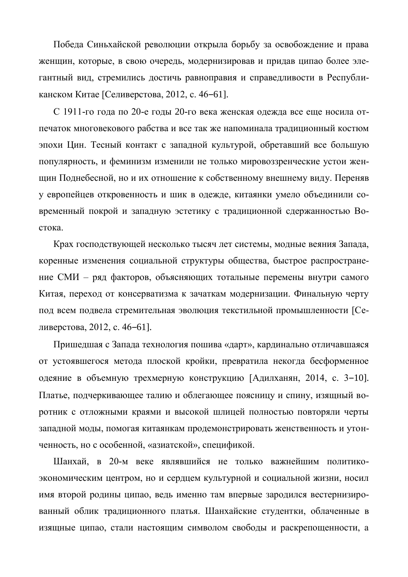Победа Синьхайской революции открыла борьбу за освобождение и права женщин, которые, в свою очередь, модернизировав и придав ципао более элегантный вид, стремились достичь равноправия и справедливости в Республиканском Китае [Селиверстова, 2012, с. 46-61].

С 1911-го года по 20-е годы 20-го века женская одежда все еще носила отпечаток многовекового рабства и все так же напоминала традиционный костюм эпохи Цин. Тесный контакт с западной культурой, обретавший все большую популярность, и феминизм изменили не только мировоззренческие устои женщин Поднебесной, но и их отношение к собственному внешнему виду. Переняв у европейцев откровенность и шик в одежде, китаянки умело объединили современный покрой и западную эстетику с традиционной сдержанностью Востока.

Крах господствующей несколько тысяч лет системы, модные веяния Запада, коренные изменения социальной структуры общества, быстрое распространение СМИ – ряд факторов, объясняющих тотальные перемены внутри самого Китая, переход от консерватизма к зачаткам модернизации. Финальную черту под всем подвела стремительная эволюция текстильной промышленности [Селиверстова, 2012, с. 46–61].

Пришедшая с Запада технология пошива «дарт», кардинально отличавшаяся от устоявшегося метода плоской кройки, превратила некогда бесформенное одеяние в объемную трехмерную конструкцию [Адилханян, 2014, с. 3–10]. Платье, подчеркивающее талию и облегающее поясницу и спину, изящный воротник с отложными краями и высокой шлицей полностью повторяли черты западной моды, помогая китаянкам продемонстрировать женственность и утонченность, но с особенной, «азиатской», спецификой.

Шанхай, в 20-м веке являвшийся не только важнейшим политикоэкономическим центром, но и сердцем культурной и социальной жизни, носил имя второй родины ципао, ведь именно там впервые зародился вестернизированный облик традиционного платья. Шанхайские студентки, облаченные в изящные ципао, стали настоящим символом свободы и раскрепощенности, а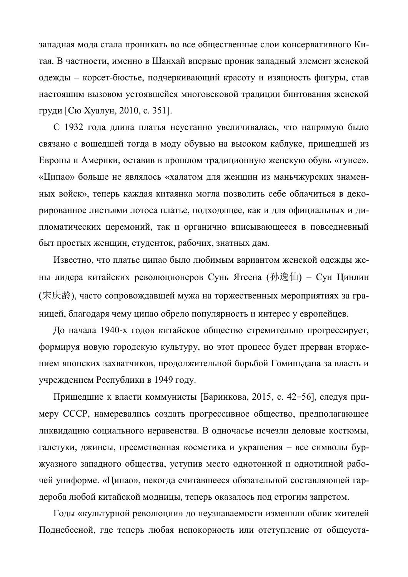западная мода стала проникать во все общественные слои консервативного Китая. В частности, именно в Шанхай впервые проник западный элемент женской одежды – корсет-бюстье, подчеркивающий красоту и изящность фигуры, став настоящим вызовом устоявшейся многовековой традиции бинтования женской груди [Сю Хуалун, 2010, с. 351].

С 1932 года длина платья неустанно увеличивалась, что напрямую было связано с вошедшей тогда в моду обувью на высоком каблуке, пришедшей из Европы и Америки, оставив в прошлом традиционную женскую обувь «гунсе». «Ципао» больше не являлось «халатом для женщин из маньчжурских знаменных войск», теперь каждая китаянка могла позволить себе облачиться в декорированное листьями лотоса платье, подходящее, как и для официальных и дипломатических церемоний, так и органично вписывающееся в повседневный быт простых женщин, студенток, рабочих, знатных дам.

Известно, что платье ципао было любимым вариантом женской одежды жены лидера китайских революционеров Сунь Ятсена (孙逸仙) – Сун Цинлин (宋庆龄), часто сопровождавшей мужа на торжественных мероприятиях за границей, благодаря чему ципао обрело популярность и интерес у европейцев.

До начала 1940-х годов китайское общество стремительно прогрессирует, формируя новую городскую культуру, но этот процесс будет прерван вторжением японских захватчиков, продолжительной борьбой Гоминьдана за власть и учреждением Республики в 1949 году.

Пришедшие к власти коммунисты [Баринкова, 2015, с. 42–56], следуя примеру СССР, намеревались создать прогрессивное общество, предполагающее ликвидацию социального неравенства. В одночасье исчезли деловые костюмы, галстуки, джинсы, преемственная косметика и украшения – все символы буржуазного западного общества, уступив место однотонной и однотипной рабочей униформе. «Ципао», некогда считавшееся обязательной составляющей гардероба любой китайской модницы, теперь оказалось под строгим запретом.

Годы «культурной революции» до неузнаваемости изменили облик жителей Поднебесной, где теперь любая непокорность или отступление от общеуста-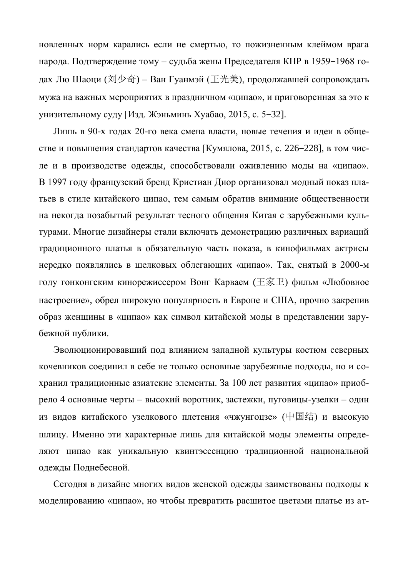новленных норм карались если не смертью, то пожизненным клеймом врага народа. Подтверждение тому – судьба жены Председателя КНР в 1959–1968 годах Лю Шаоци (刘少奇) – Ван Гуанмэй (王光美), продолжавшей сопровождать мужа на важных мероприятих в праздничном «ципао», и приговоренная за это к үнизительному суду [Изд. Жэньминь Хуабао, 2015, с. 5–32].

Лишь в 90-х годах 20-го века смена власти, новые течения и идеи в обществе и повышения стандартов качества [Кумялова, 2015, с. 226–228], в том числе и в производстве одежды, способствовали оживлению моды на «ципао». В 1997 году французский бренд Кристиан Диор организовал модный показ платьев в стиле китайского ципао, тем самым обратив внимание общественности на некогда позабытый результат тесного общения Китая с зарубежными культурами. Многие дизайнеры стали включать демонстрацию различных вариаций традиционного платья в обязательную часть показа, в кинофильмах актрисы нередко появлялись в шелковых облегающих «ципао». Так, снятый в 2000-м году гонконгским кинорежиссером Вонг Карваем ( $\pm \overline{\mathcal{F}}$ . Фильм «Любовное настроение», обрел широкую популярность в Европе и США, прочно закрепив образ женщины в «ципао» как символ китайской моды в представлении зарубежной публики.

Эволюционировавший под влиянием западной культуры костюм северных кочевников соединил в себе не только основные зарубежные подходы, но и сохранил традиционные азиатские элементы. За 100 лет развития «ципао» приобрело 4 основные черты – высокий воротник, застежки, пуговицы-узелки – один из видов китайского узелкового плетения «чжунгоцзе» (中国结) и высокую шлицу. Именно эти характерные лишь для китайской моды элементы определяют ципао как уникальную квинтэссенцию традиционной национальной одежды Поднебесной.

Сегодня в дизайне многих видов женской одежды заимствованы подходы к моделированию «ципао», но чтобы превратить расшитое цветами платье из ат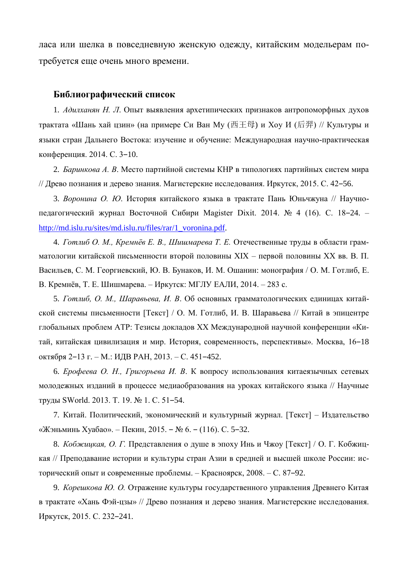ласа или шелка в повседневную женскую одежду, китайским модельерам потребуется еще очень много времени.

## **Библиографический список**

1. Адилханян Н. Л. Опыт выявления архетипических признаков антропоморфных духов трактата «Шань хай цзин» (на примере Си Ван Му (西王母) и Хоу И (后羿) // Культуры и языки стран Дальнего Востока: изучение и обучение: Международная научно-практическая конференция. 2014. С. 3-10.

2. *Баринкова А. В.* Место партийной системы КНР в типологиях партийных систем мира // Древо познания и дерево знания. Магистерские исследования. Иркутск, 2015. С. 42–56.

3. Воронина О. Ю. История китайского языка в трактате Пань Юньчжуна // Научнопедагогический журнал Восточной Сибири Magister Dixit. 2014. № 4 (16). С. 18–24. – [http://md.islu.ru/sites/md.islu.ru/files/rar/1\\_voronina.pdf.](http://md.islu.ru/sites/md.islu.ru/files/rar/1_voronina.pdf)

4. *Готлиб О. М., Кремнёв Е. В., Шишмарева Т. Е.* Отечественные труды в области грамматологии китайской письменности второй половины XIX – первой половины XX вв. В. П. Васильев, С. М. Георгиевский, Ю. В. Бунаков, И. М. Ошанин: монография / О. М. Готлиб, Е. В. Кремнёв, Т. Е. Шишмарева. – Иркутск: МГЛУ ЕАЛИ, 2014. – 283 с.

5. *Готлиб, О. М., Шаравьева, И. В.* Об основных грамматологических единицах китайской системы письменности [Текст] / О. М. Готлиб, И. В. Шаравьева // Китай в эпицентре глобальных проблем АТР: Тезисы докладов XX Международной научной конференции «Китай, китайская цивилизация и мир. История, современность, перспективы». Москва, 16-18 октября 2–13 г. – М.: ИДВ РАН, 2013. – С. 451–452.

6. *Ерофеева О. Н., Григорьева И. В.* К вопросу использования китаеязычных сетевых молодежных изданий в процессе медиаобразования на уроках китайского языка // Научные труды SWorld. 2013. Т. 19. № 1. С. 51–54.

7. Китай. Политический, экономический и культурный журнал. [Текст] – Издательство «Жэньминь Хуабао». – Пекин, 2015. – № 6. – (116). С. 5–32.

8. *Кобжищкая, О. Г.* Представления о душе в эпоху Инь и Чжоу [Текст] / О. Г. Кобжицкая // Преподавание истории и культуры стран Азии в средней и высшей школе России: исторический опыт и современные проблемы. – Красноярск, 2008. – С. 87–92.

9. *Корешкова Ю. О.* Отражение культуры государственного управления Древнего Китая в трактате «Хань Фэй-цзы» // Древо познания и дерево знания. Магистерские исследования. Иркутск, 2015. С. 232-241.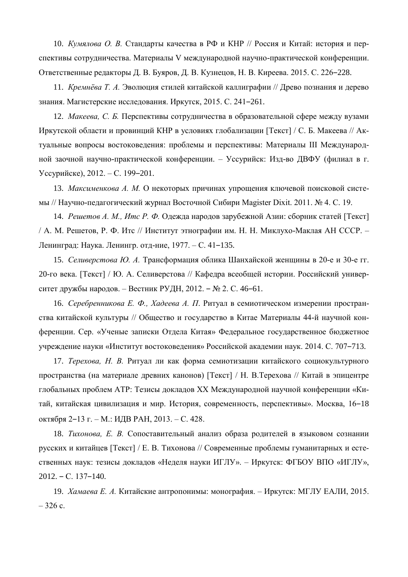10. *Кумялова О. В.* Стандарты качества в РФ и КНР // Россия и Китай: история и перспективы сотрудничества. Материалы V международной научно-практической конференции. Ответственные редакторы Д. В. Буяров, Д. В. Кузнецов, Н. В. Киреева. 2015. С. 226–228.

11. *Кремнёва Т. А.* Эволюция стилей китайской каллиграфии // Древо познания и дерево знания. Магистерские исследования. Иркутск, 2015. С. 241-261.

12. *Макеева, С. Б.* Перспективы сотрудничества в образовательной сфере между вузами Иркутской области и провинций КНР в условиях глобализации [Текст] / С. Б. Макеева // Актуальные вопросы востоковедения: проблемы и перспективы: Материалы III Международной заочной научно-практической конференции. – Уссурийск: Изд-во ДВФУ (филиал в г. Уссурийске), 2012. – С. 199–201.

13. *Максименкова А. М.* О некоторых причинах упрошения ключевой поисковой системы // Научно-педагогический журнал Восточной Сибири Magister Dixit. 2011. № 4. С. 19.

14. Решетов А. М., Итс Р. Ф. Одежда народов зарубежной Азии: сборник статей [Текст] / А. М. Решетов, Р. Ф. Итс // Институт этнографии им. Н. Н. Миклухо-Маклая АН СССР. – Ленинград: Наука. Ленингр. отд-ние, 1977. – С. 41–135.

15. *Селиверстова Ю. А.* Трансформация облика Шанхайской женщины в 20-е и 30-е гг. 20-го века. [Текст] / Ю. А. Селиверстова // Кафедра всеобщей истории. Российский университет дружбы народов. – Вестник РУДН, 2012. – № 2. С. 46–61.

16. *Серебренникова Е. Ф., Хадеева А. П.* Ритуал в семиотическом измерении пространства китайской культуры // Общество и государство в Китае Материалы 44-й научной конференции. Сер. «Ученые записки Отдела Китая» Федеральное государственное бюджетное учреждение науки «Институт востоковедения» Российской академии наук. 2014. С. 707-713.

17. *Терехова, Н. В.* Ритуал ли как форма семиотизации китайского социокультурного пространства (на материале древних канонов) [Текст] / Н. В.Терехова // Китай в эпицентре глобальных проблем АТР: Тезисы докладов XX Международной научной конференции «Китай, китайская цивилизация и мир. История, современность, перспективы». Москва, 16-18 октября 2–13 г. – М.: ИДВ РАН, 2013. – С. 428.

18. *Гихонова*, Е. В. Сопоставительный анализ образа родителей в языковом сознании русских и китайцев [Текст] / Е. В. Тихонова // Современные проблемы гуманитарных и естественных наук: тезисы докладов «Неделя науки ИГЛУ». – Иркутск: ФГБОУ ВПО «ИГЛУ»,  $2012. - C. 137 - 140.$ 

19. *Хамаева Е. А.* Китайские антропонимы: монография. – Иркутск: МГЛУ ЕАЛИ, 2015.  $-326$  c.